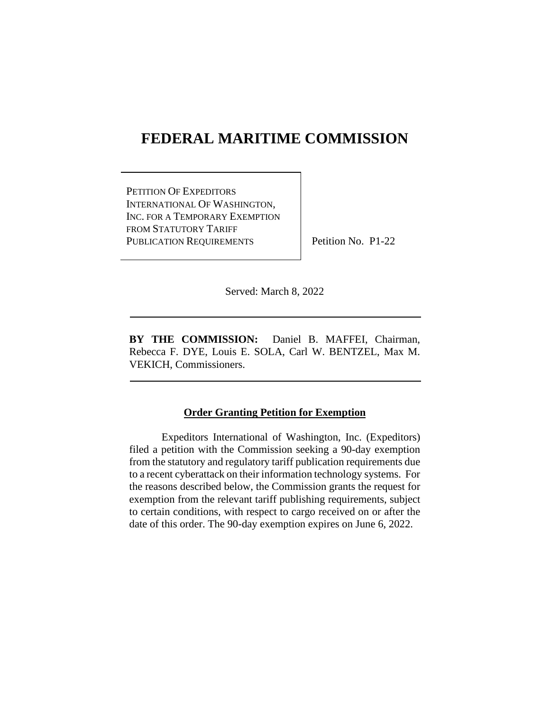# **FEDERAL MARITIME COMMISSION**

PETITION OF EXPEDITORS INTERNATIONAL OF WASHINGTON, INC. FOR A TEMPORARY EXEMPTION FROM STATUTORY TARIFF PUBLICATION REQUIREMENTS

Petition No. P1-22

Served: March 8, 2022

**BY THE COMMISSION:** Daniel B. MAFFEI, Chairman, Rebecca F. DYE, Louis E. SOLA, Carl W. BENTZEL, Max M. VEKICH, Commissioners.

#### **Order Granting Petition for Exemption**

Expeditors International of Washington, Inc. (Expeditors) filed a petition with the Commission seeking a 90-day exemption from the statutory and regulatory tariff publication requirements due to a recent cyberattack on their information technology systems. For the reasons described below, the Commission grants the request for exemption from the relevant tariff publishing requirements, subject to certain conditions, with respect to cargo received on or after the date of this order. The 90-day exemption expires on June 6, 2022.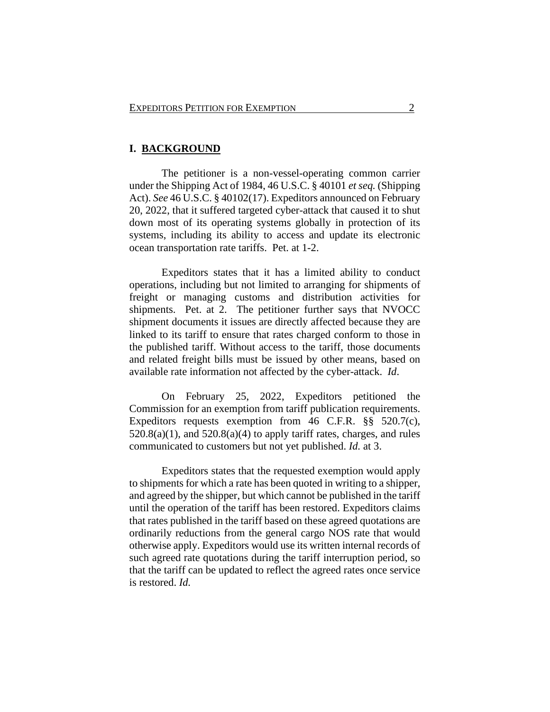## **I. BACKGROUND**

The petitioner is a non-vessel-operating common carrier under the Shipping Act of 1984, 46 U.S.C. § 40101 *et seq.* (Shipping Act). *See* 46 U.S.C. § 40102(17). Expeditors announced on February 20, 2022, that it suffered targeted cyber-attack that caused it to shut down most of its operating systems globally in protection of its systems, including its ability to access and update its electronic ocean transportation rate tariffs. Pet. at 1-2.

Expeditors states that it has a limited ability to conduct operations, including but not limited to arranging for shipments of freight or managing customs and distribution activities for shipments. Pet. at 2. The petitioner further says that NVOCC shipment documents it issues are directly affected because they are linked to its tariff to ensure that rates charged conform to those in the published tariff. Without access to the tariff, those documents and related freight bills must be issued by other means, based on available rate information not affected by the cyber-attack. *Id*.

On February 25, 2022, Expeditors petitioned the Commission for an exemption from tariff publication requirements. Expeditors requests exemption from 46 C.F.R. §§ 520.7(c),  $520.8(a)(1)$ , and  $520.8(a)(4)$  to apply tariff rates, charges, and rules communicated to customers but not yet published. *Id.* at 3.

Expeditors states that the requested exemption would apply to shipments for which a rate has been quoted in writing to a shipper, and agreed by the shipper, but which cannot be published in the tariff until the operation of the tariff has been restored. Expeditors claims that rates published in the tariff based on these agreed quotations are ordinarily reductions from the general cargo NOS rate that would otherwise apply. Expeditors would use its written internal records of such agreed rate quotations during the tariff interruption period, so that the tariff can be updated to reflect the agreed rates once service is restored. *Id.*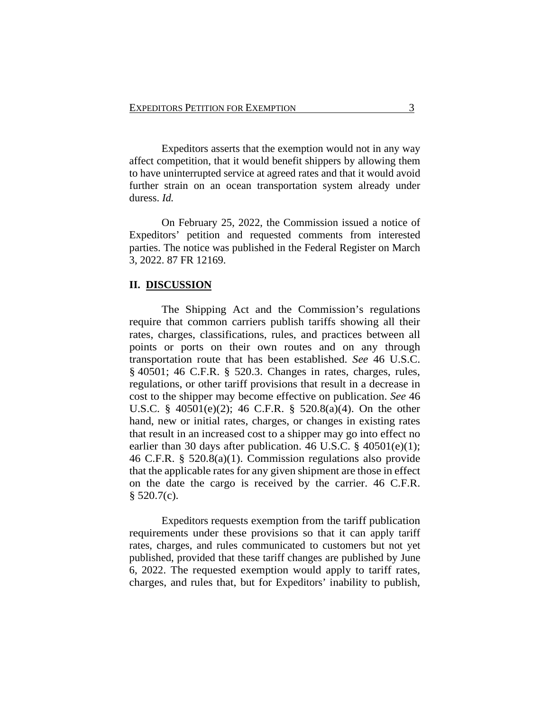Expeditors asserts that the exemption would not in any way affect competition, that it would benefit shippers by allowing them to have uninterrupted service at agreed rates and that it would avoid further strain on an ocean transportation system already under duress. *Id.*

On February 25, 2022, the Commission issued a notice of Expeditors' petition and requested comments from interested parties. The notice was published in the Federal Register on March 3, 2022. 87 FR 12169.

#### **II. DISCUSSION**

The Shipping Act and the Commission's regulations require that common carriers publish tariffs showing all their rates, charges, classifications, rules, and practices between all points or ports on their own routes and on any through transportation route that has been established. *See* 46 U.S.C. § 40501; 46 C.F.R. § 520.3. Changes in rates, charges, rules, regulations, or other tariff provisions that result in a decrease in cost to the shipper may become effective on publication. *See* 46 U.S.C. § 40501(e)(2); 46 C.F.R. § 520.8(a)(4). On the other hand, new or initial rates, charges, or changes in existing rates that result in an increased cost to a shipper may go into effect no earlier than 30 days after publication. 46 U.S.C.  $\S$  40501(e)(1); 46 C.F.R. § 520.8(a)(1). Commission regulations also provide that the applicable rates for any given shipment are those in effect on the date the cargo is received by the carrier. 46 C.F.R.  $$520.7(c)$ .

Expeditors requests exemption from the tariff publication requirements under these provisions so that it can apply tariff rates, charges, and rules communicated to customers but not yet published, provided that these tariff changes are published by June 6, 2022. The requested exemption would apply to tariff rates, charges, and rules that, but for Expeditors' inability to publish,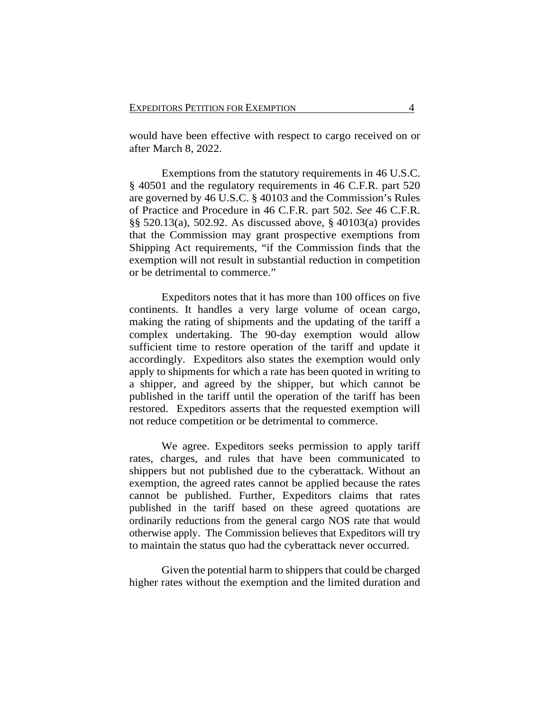would have been effective with respect to cargo received on or after March 8, 2022.

Exemptions from the statutory requirements in 46 U.S.C. § 40501 and the regulatory requirements in 46 C.F.R. part 520 are governed by 46 U.S.C. § 40103 and the Commission's Rules of Practice and Procedure in 46 C.F.R. part 502. *See* 46 C.F.R. §§ 520.13(a), 502.92. As discussed above, § 40103(a) provides that the Commission may grant prospective exemptions from Shipping Act requirements, "if the Commission finds that the exemption will not result in substantial reduction in competition or be detrimental to commerce."

Expeditors notes that it has more than 100 offices on five continents. It handles a very large volume of ocean cargo, making the rating of shipments and the updating of the tariff a complex undertaking. The 90-day exemption would allow sufficient time to restore operation of the tariff and update it accordingly. Expeditors also states the exemption would only apply to shipments for which a rate has been quoted in writing to a shipper, and agreed by the shipper, but which cannot be published in the tariff until the operation of the tariff has been restored. Expeditors asserts that the requested exemption will not reduce competition or be detrimental to commerce.

We agree. Expeditors seeks permission to apply tariff rates, charges, and rules that have been communicated to shippers but not published due to the cyberattack. Without an exemption, the agreed rates cannot be applied because the rates cannot be published. Further, Expeditors claims that rates published in the tariff based on these agreed quotations are ordinarily reductions from the general cargo NOS rate that would otherwise apply. The Commission believes that Expeditors will try to maintain the status quo had the cyberattack never occurred.

Given the potential harm to shippers that could be charged higher rates without the exemption and the limited duration and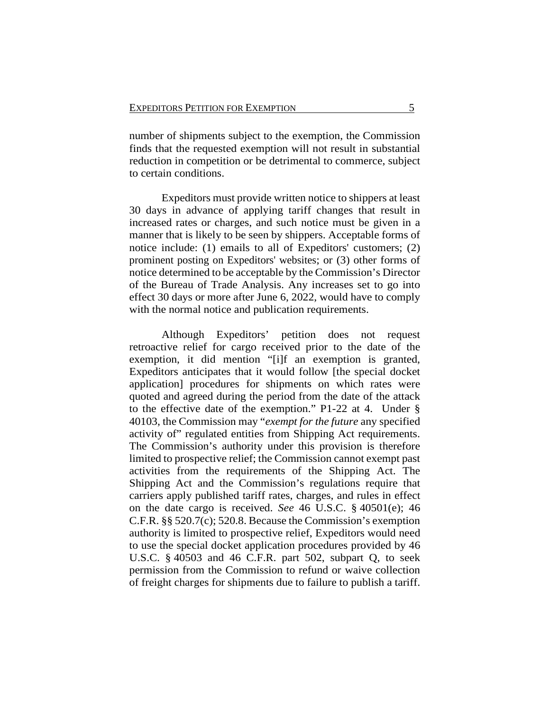number of shipments subject to the exemption, the Commission finds that the requested exemption will not result in substantial reduction in competition or be detrimental to commerce, subject to certain conditions.

Expeditors must provide written notice to shippers at least 30 days in advance of applying tariff changes that result in increased rates or charges, and such notice must be given in a manner that is likely to be seen by shippers. Acceptable forms of notice include: (1) emails to all of Expeditors' customers; (2) prominent posting on Expeditors' websites; or (3) other forms of notice determined to be acceptable by the Commission's Director of the Bureau of Trade Analysis. Any increases set to go into effect 30 days or more after June 6, 2022, would have to comply with the normal notice and publication requirements.

Although Expeditors' petition does not request retroactive relief for cargo received prior to the date of the exemption, it did mention "[i]f an exemption is granted, Expeditors anticipates that it would follow [the special docket application] procedures for shipments on which rates were quoted and agreed during the period from the date of the attack to the effective date of the exemption." P1-22 at 4. Under § 40103, the Commission may "*exempt for the future* any specified activity of" regulated entities from Shipping Act requirements. The Commission's authority under this provision is therefore limited to prospective relief; the Commission cannot exempt past activities from the requirements of the Shipping Act. The Shipping Act and the Commission's regulations require that carriers apply published tariff rates, charges, and rules in effect on the date cargo is received. *See* 46 U.S.C. § 40501(e); 46 C.F.R. §§ 520.7(c); 520.8. Because the Commission's exemption authority is limited to prospective relief, Expeditors would need to use the special docket application procedures provided by 46 U.S.C. § 40503 and 46 C.F.R. part 502, subpart Q, to seek permission from the Commission to refund or waive collection of freight charges for shipments due to failure to publish a tariff.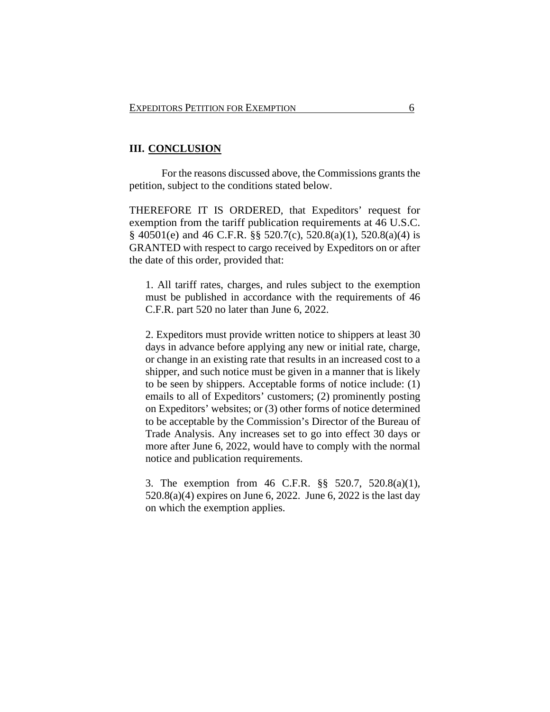## **III. CONCLUSION**

For the reasons discussed above, the Commissions grants the petition, subject to the conditions stated below.

THEREFORE IT IS ORDERED, that Expeditors' request for exemption from the tariff publication requirements at 46 U.S.C. § 40501(e) and 46 C.F.R. §§ 520.7(c), 520.8(a)(1), 520.8(a)(4) is GRANTED with respect to cargo received by Expeditors on or after the date of this order, provided that:

1. All tariff rates, charges, and rules subject to the exemption must be published in accordance with the requirements of 46 C.F.R. part 520 no later than June 6, 2022.

2. Expeditors must provide written notice to shippers at least 30 days in advance before applying any new or initial rate, charge, or change in an existing rate that results in an increased cost to a shipper, and such notice must be given in a manner that is likely to be seen by shippers. Acceptable forms of notice include: (1) emails to all of Expeditors' customers; (2) prominently posting on Expeditors' websites; or (3) other forms of notice determined to be acceptable by the Commission's Director of the Bureau of Trade Analysis. Any increases set to go into effect 30 days or more after June 6, 2022, would have to comply with the normal notice and publication requirements.

3. The exemption from 46 C.F.R. §§ 520.7, 520.8(a)(1), 520.8(a)(4) expires on June 6, 2022. June 6, 2022 is the last day on which the exemption applies.